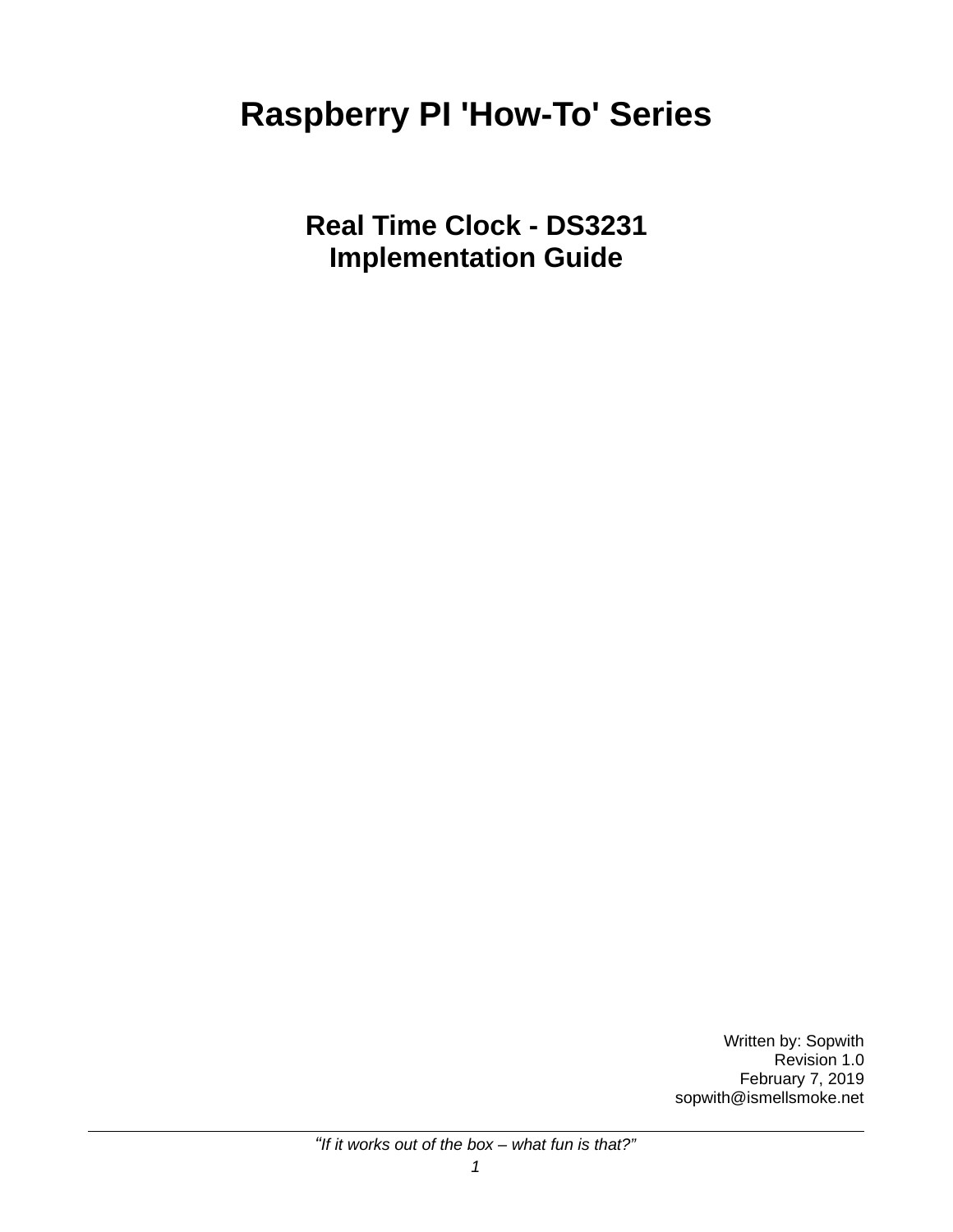# **Raspberry PI 'How-To' Series**

**Real Time Clock - DS3231 Implementation Guide**

> Written by: Sopwith Revision 1.0 February 7, 2019 sopwith@ismellsmoke.net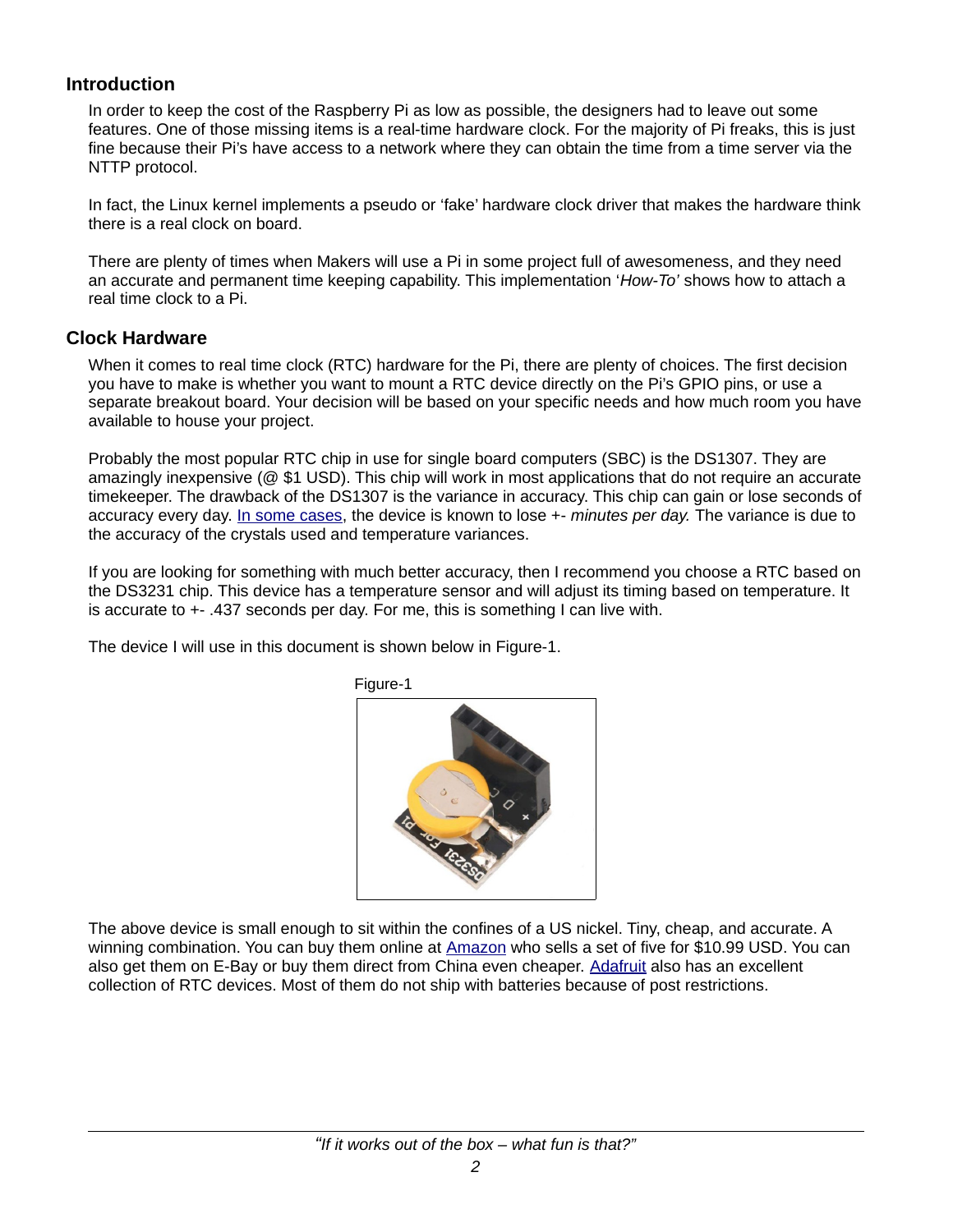#### **Introduction**

In order to keep the cost of the Raspberry Pi as low as possible, the designers had to leave out some features. One of those missing items is a real-time hardware clock. For the majority of Pi freaks, this is just fine because their Pi's have access to a network where they can obtain the time from a time server via the NTTP protocol.

In fact, the Linux kernel implements a pseudo or 'fake' hardware clock driver that makes the hardware think there is a real clock on board.

There are plenty of times when Makers will use a Pi in some project full of awesomeness, and they need an accurate and permanent time keeping capability. This implementation '*How-To'* shows how to attach a real time clock to a Pi.

#### **Clock Hardware**

When it comes to real time clock (RTC) hardware for the Pi, there are plenty of choices. The first decision you have to make is whether you want to mount a RTC device directly on the Pi's GPIO pins, or use a separate breakout board. Your decision will be based on your specific needs and how much room you have available to house your project.

Probably the most popular RTC chip in use for single board computers (SBC) is the DS1307. They are amazingly inexpensive (@ \$1 USD). This chip will work in most applications that do not require an accurate timekeeper. The drawback of the DS1307 is the variance in accuracy. This chip can gain or lose seconds of accuracy every day. [In some cases,](http://www.reuk.co.uk/wordpress/accurate-ds3231-real-time-clock-as-alternative-to-ds1307/) the device is known to lose +- *minutes per day.* The variance is due to the accuracy of the crystals used and temperature variances.

If you are looking for something with much better accuracy, then I recommend you choose a RTC based on the DS3231 chip. This device has a temperature sensor and will adjust its timing based on temperature. It is accurate to +- .437 seconds per day. For me, this is something I can live with.

The device I will use in this document is shown below in Figure-1.



Figure-1

The above device is small enough to sit within the confines of a US nickel. Tiny, cheap, and accurate. A winning combination. You can buy them online at [Amazon](http://www.amazon.com/) who sells a set of five for \$10.99 USD. You can also get them on E-Bay or buy them direct from China even cheaper. [Adafruit](https://www.adafruit.com/) also has an excellent collection of RTC devices. Most of them do not ship with batteries because of post restrictions.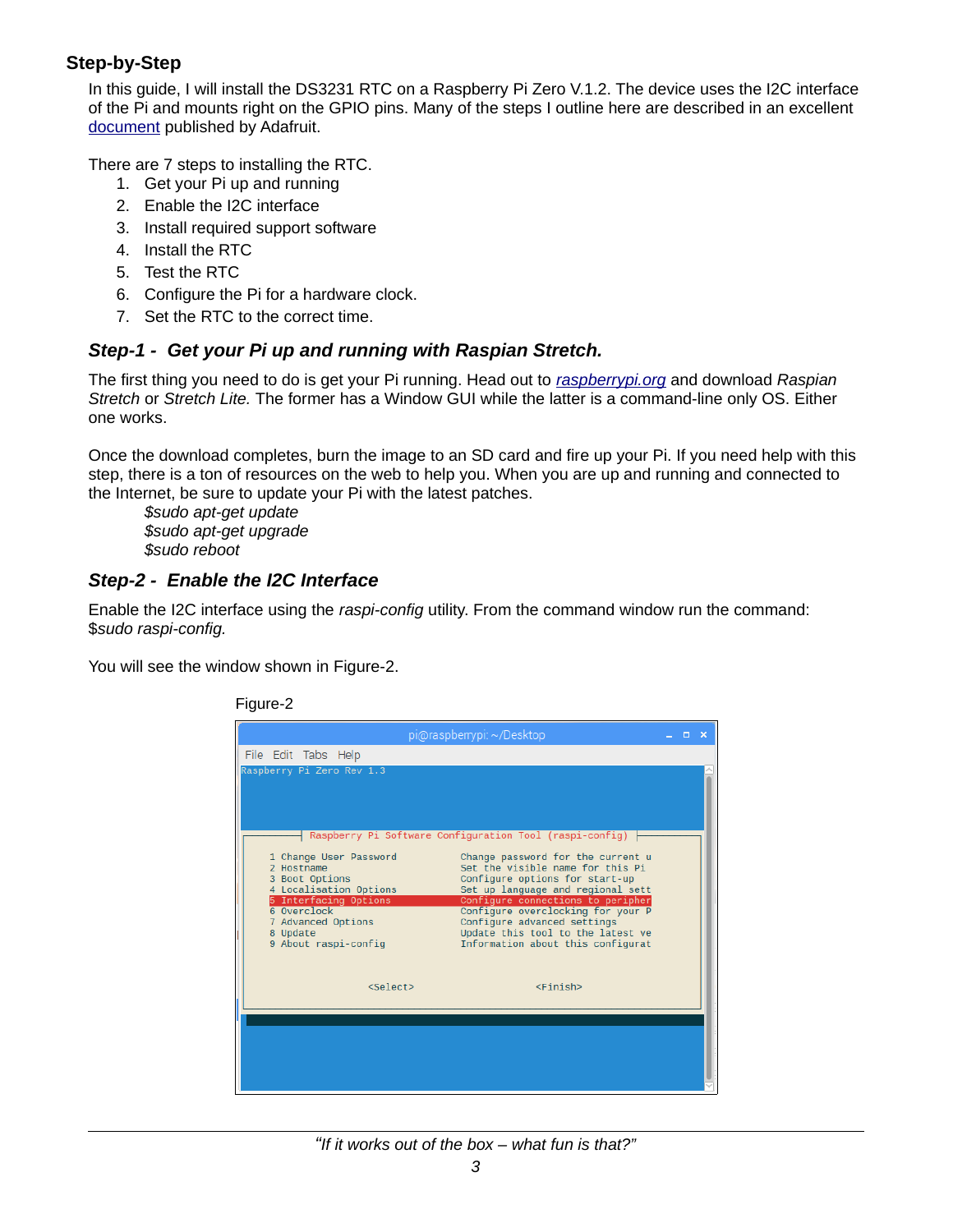## **Step-by-Step**

In this guide, I will install the DS3231 RTC on a Raspberry Pi Zero V.1.2. The device uses the I2C interface of the Pi and mounts right on the GPIO pins. Many of the steps I outline here are described in an excellent [document](https://cdn-learn.adafruit.com/downloads/pdf/adding-a-real-time-clock-to-raspberry-pi.pdf) published by Adafruit.

There are 7 steps to installing the RTC.

- 1. Get your Pi up and running
- 2. Enable the I2C interface
- 3. Install required support software
- 4. Install the RTC
- 5. Test the RTC
- 6. Configure the Pi for a hardware clock.
- 7. Set the RTC to the correct time.

## *Step-1 - Get your Pi up and running with Raspian Stretch.*

The first thing you need to do is get your Pi running. Head out to *[raspberrypi.org](http://raspberrypi.org/downloads)* and download *Raspian Stretch* or *Stretch Lite.* The former has a Window GUI while the latter is a command-line only OS. Either one works.

Once the download completes, burn the image to an SD card and fire up your Pi. If you need help with this step, there is a ton of resources on the web to help you. When you are up and running and connected to the Internet, be sure to update your Pi with the latest patches.

*\$sudo apt-get update \$sudo apt-get upgrade \$sudo reboot*

## *Step-2 - Enable the I2C Interface*

Enable the I2C interface using the *raspi-config* utility. From the command window run the command: \$*sudo raspi-config.*

You will see the window shown in Figure-2.



Figure-2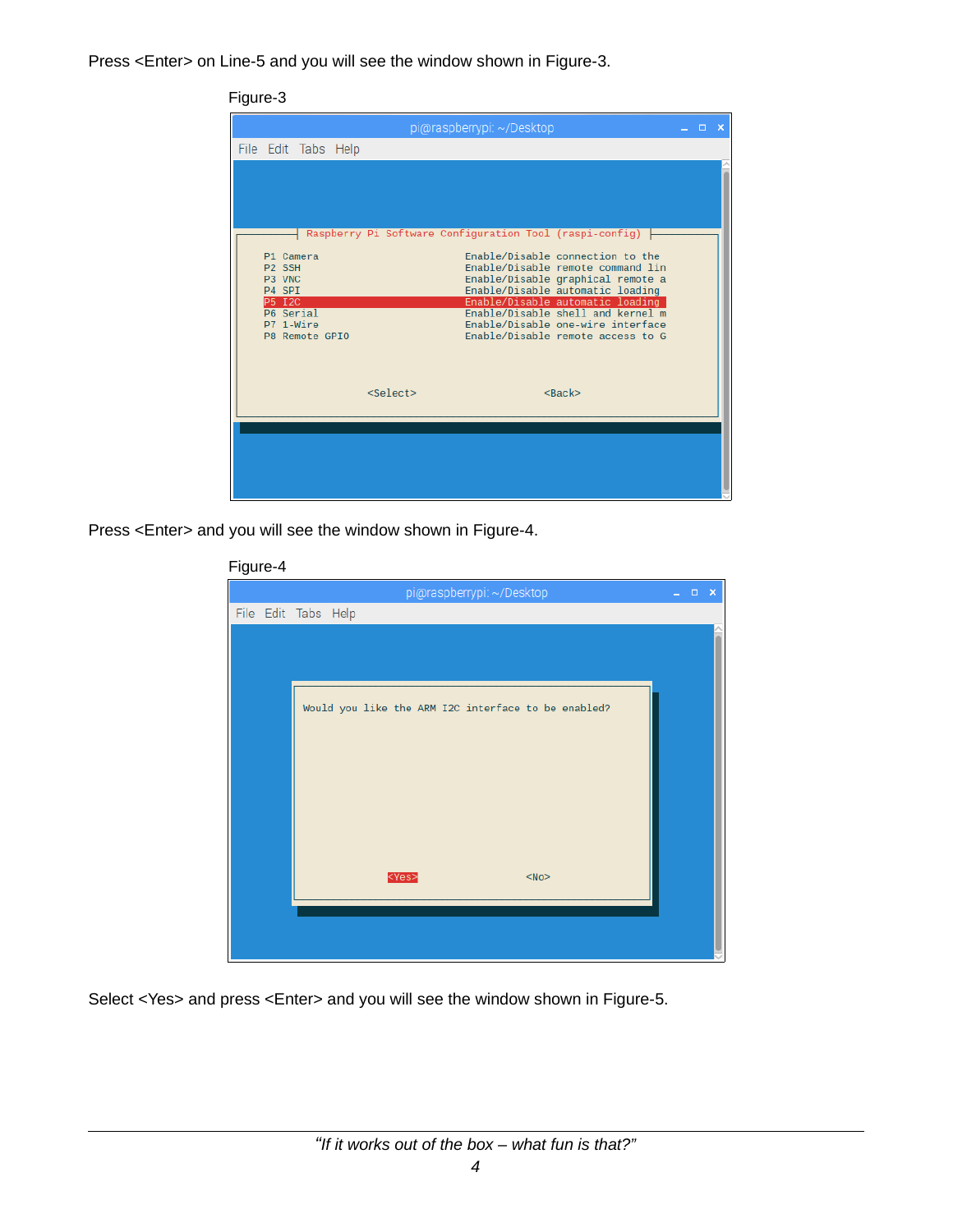Press <Enter> on Line-5 and you will see the window shown in Figure-3.

## Figure-3

|                                                                                                                  |                   | pi@raspberrypi: ~/Desktop |                                                                                                                                                                                                                                                                                                                                                              | $\Box$ | -x |
|------------------------------------------------------------------------------------------------------------------|-------------------|---------------------------|--------------------------------------------------------------------------------------------------------------------------------------------------------------------------------------------------------------------------------------------------------------------------------------------------------------------------------------------------------------|--------|----|
| File Edit Tabs Help                                                                                              |                   |                           |                                                                                                                                                                                                                                                                                                                                                              |        |    |
| P1 Camera<br>P <sub>2</sub> SSH<br>P3 VNC<br>P4 SPI<br><b>P5 I2C</b><br>P6 Serial<br>P7 1-Wire<br>P8 Remote GPIO |                   |                           | Raspberry Pi Software Configuration Tool (raspi-config)<br>Enable/Disable connection to the<br>Enable/Disable remote command lin<br>Enable/Disable graphical remote a<br>Enable/Disable automatic loading<br>Enable/Disable automatic loading<br>Enable/Disable shell and kernel m<br>Enable/Disable one-wire interface<br>Enable/Disable remote access to G |        |    |
|                                                                                                                  | <select></select> |                           | $<$ Back $>$                                                                                                                                                                                                                                                                                                                                                 |        |    |
|                                                                                                                  |                   |                           |                                                                                                                                                                                                                                                                                                                                                              |        |    |

Press <Enter> and you will see the window shown in Figure-4.

| pi@raspberrypi: ~/Desktop                            | $\Box$ $\times$ |
|------------------------------------------------------|-----------------|
| File Edit Tabs Help                                  |                 |
|                                                      |                 |
|                                                      |                 |
|                                                      |                 |
| Would you like the ARM I2C interface to be enabled?  |                 |
|                                                      |                 |
|                                                      |                 |
|                                                      |                 |
|                                                      |                 |
|                                                      |                 |
|                                                      |                 |
|                                                      |                 |
| <yes><br/><math>&lt;</math>No<math>&gt;</math></yes> |                 |
|                                                      |                 |
|                                                      |                 |
|                                                      |                 |

Figure-4

Select <Yes> and press <Enter> and you will see the window shown in Figure-5.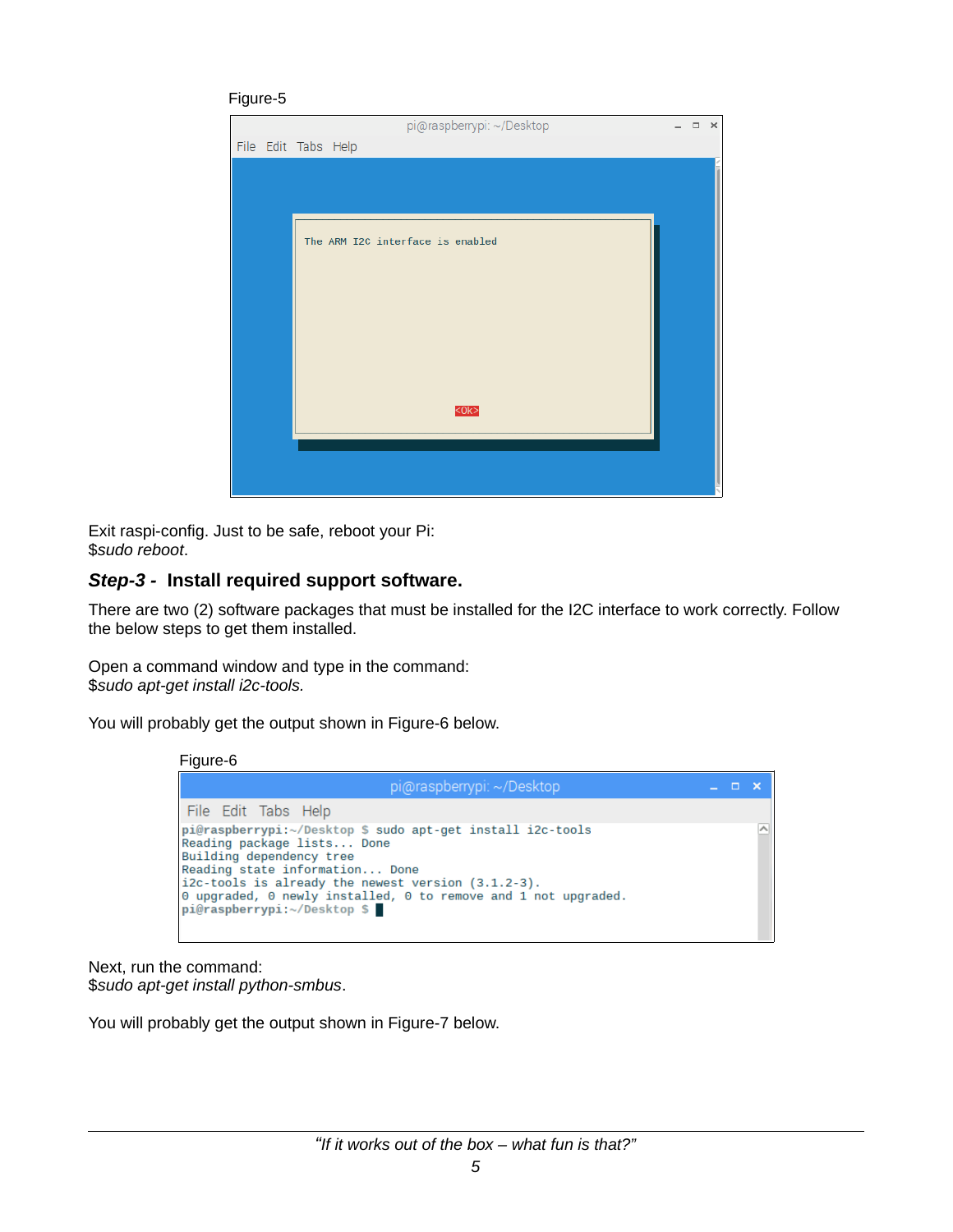#### Figure-5



Exit raspi-config. Just to be safe, reboot your Pi: \$*sudo reboot*.

#### *Step-3 -* **Install required support software.**

There are two (2) software packages that must be installed for the I2C interface to work correctly. Follow the below steps to get them installed.

Open a command window and type in the command: \$*sudo apt-get install i2c-tools.*

You will probably get the output shown in Figure-6 below.

Figure-6

| pi@raspberrypi: ~/Desktop                                                                                                                                                                                                                                                                                           | - 0 |  |
|---------------------------------------------------------------------------------------------------------------------------------------------------------------------------------------------------------------------------------------------------------------------------------------------------------------------|-----|--|
| File Edit Tabs Help                                                                                                                                                                                                                                                                                                 |     |  |
| pi@raspberrypi:~/Desktop \$ sudo apt-get install i2c-tools<br>Reading package lists Done<br>Building dependency tree<br>Reading state information Done<br>$i2c$ -tools is already the newest version $(3.1.2-3)$ .<br>0 upgraded, 0 newly installed, 0 to remove and 1 not upgraded.<br>pi@raspberrypi:~/Desktop \$ |     |  |

Next, run the command: \$*sudo apt-get install python-smbus*.

You will probably get the output shown in Figure-7 below.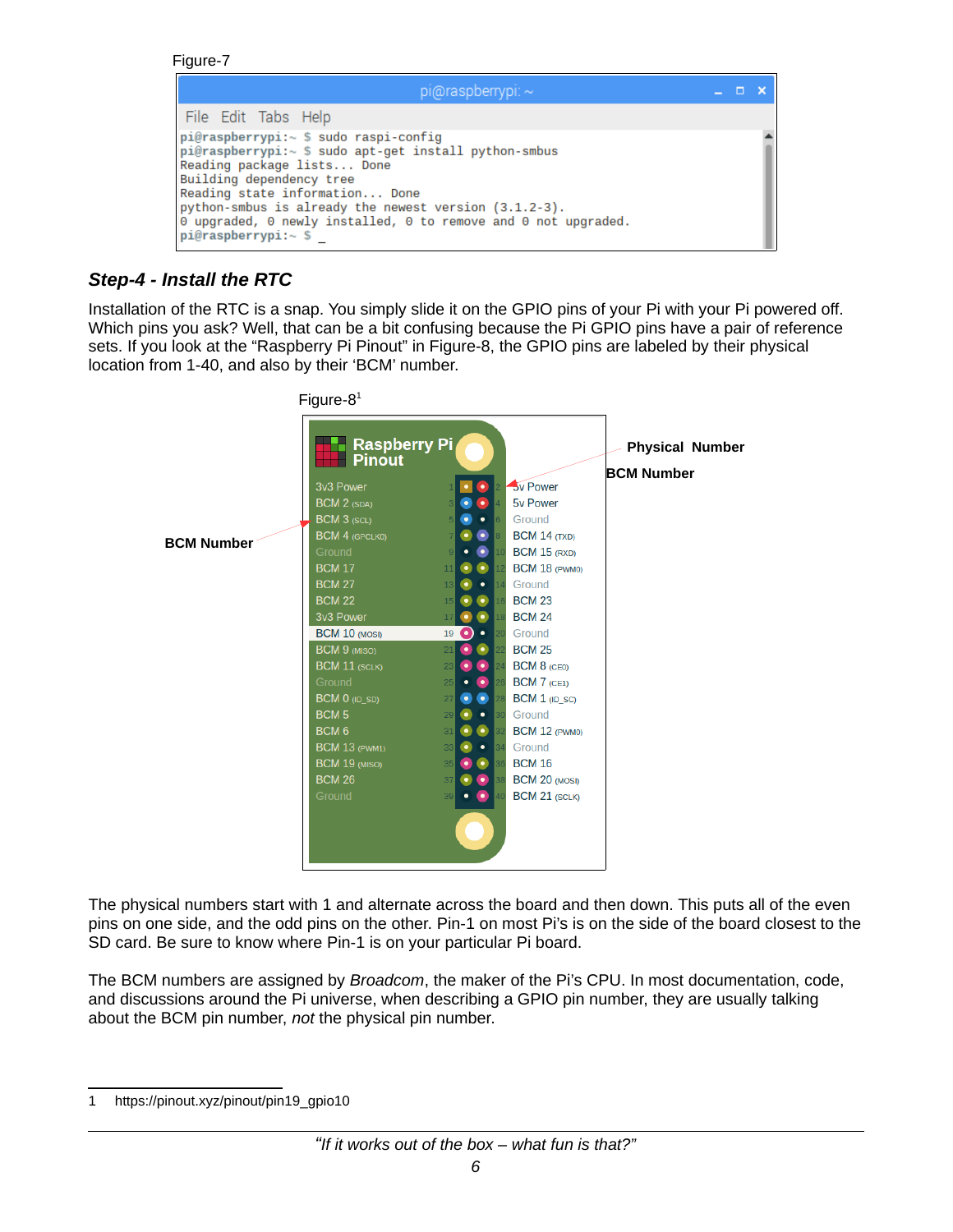```
Figure-7
```

| pi@raspberrypi: $\sim$                                                                                                                                                                                                                                                                                                                                                    |  |  |
|---------------------------------------------------------------------------------------------------------------------------------------------------------------------------------------------------------------------------------------------------------------------------------------------------------------------------------------------------------------------------|--|--|
| File Edit Tabs Help                                                                                                                                                                                                                                                                                                                                                       |  |  |
| pi@raspberrypi:~ \$ sudo raspi-confiq<br>$pi@raspberrypi:~ $ sudo apt-qet install python-smbus$<br>Reading package lists Done<br>Building dependency tree<br>Reading state information Done<br>python-smbus is already the newest version (3.1.2-3).<br>$\theta$ upgraded, $\theta$ newly installed, $\theta$ to remove and $\theta$ not upgraded.<br>pi@raspberrypi:~ \$ |  |  |

# *Step-4 - Install the RTC*

Installation of the RTC is a snap. You simply slide it on the GPIO pins of your Pi with your Pi powered off. Which pins you ask? Well, that can be a bit confusing because the Pi GPIO pins have a pair of reference sets. If you look at the "Raspberry Pi Pinout" in Figure-8, the GPIO pins are labeled by their physical location from 1-40, and also by their 'BCM' number.



The physical numbers start with 1 and alternate across the board and then down. This puts all of the even pins on one side, and the odd pins on the other. Pin-1 on most Pi's is on the side of the board closest to the SD card. Be sure to know where Pin-1 is on your particular Pi board.

The BCM numbers are assigned by *Broadcom*, the maker of the Pi's CPU. In most documentation, code, and discussions around the Pi universe, when describing a GPIO pin number, they are usually talking about the BCM pin number, *not* the physical pin number.

<span id="page-5-0"></span><sup>1</sup> https://pinout.xyz/pinout/pin19\_gpio10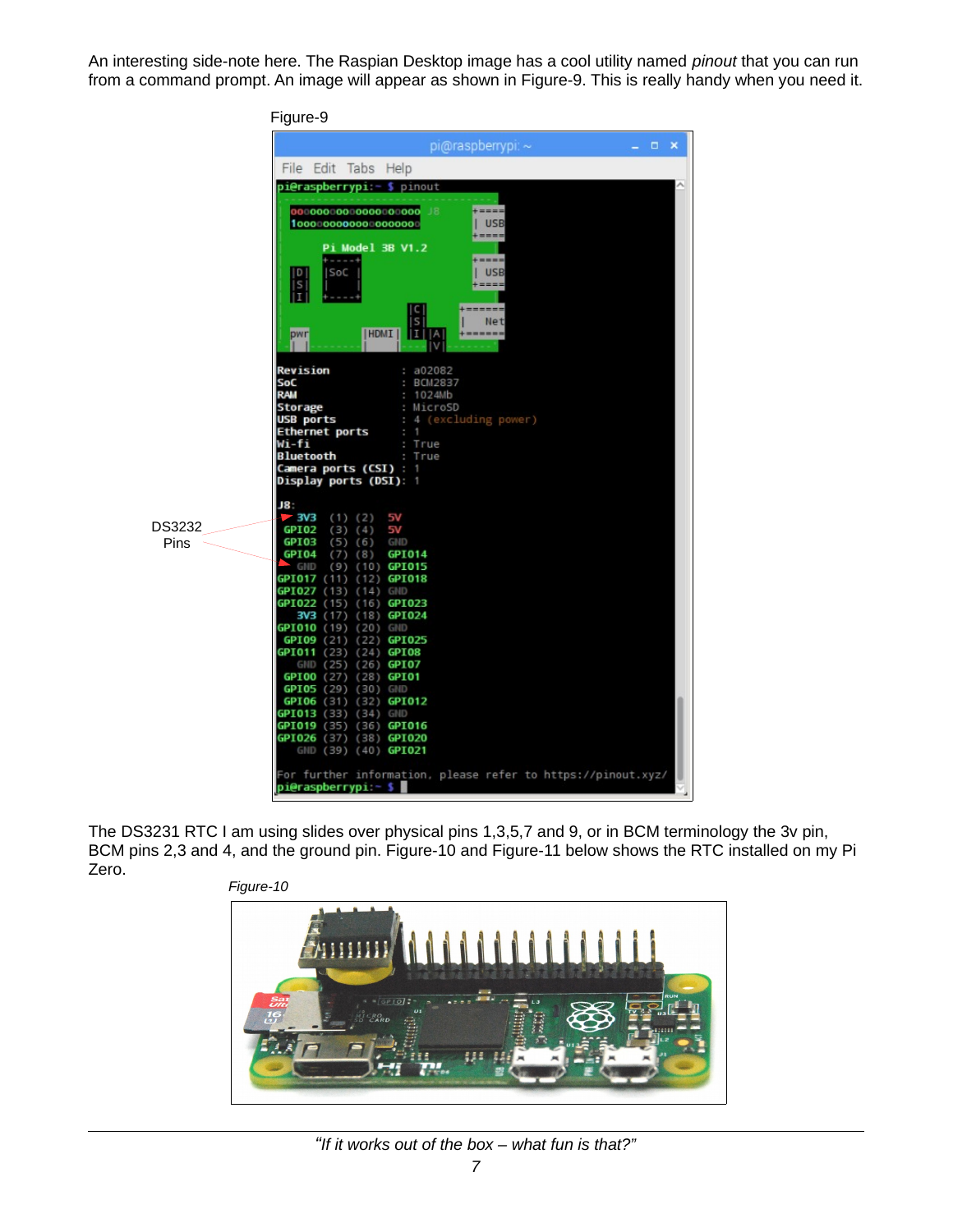An interesting side-note here. The Raspian Desktop image has a cool utility named *pinout* that you can run from a command prompt. An image will appear as shown in Figure-9. This is really handy when you need it.



The DS3231 RTC I am using slides over physical pins 1,3,5,7 and 9, or in BCM terminology the 3v pin, BCM pins 2,3 and 4, and the ground pin. Figure-10 and Figure-11 below shows the RTC installed on my Pi Zero.



#### *"If it works out of the box – what fun is that?"*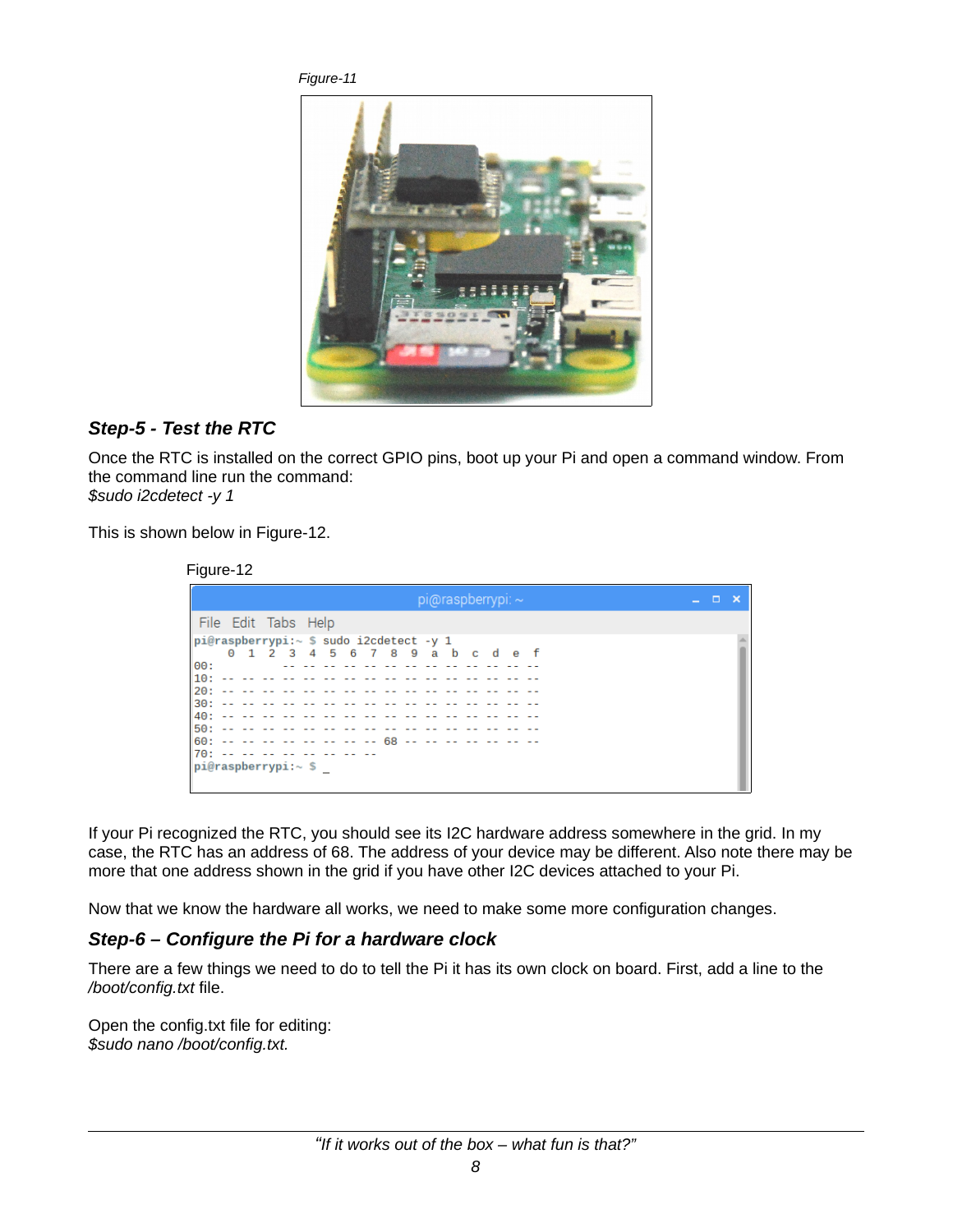*Figure-11*



## *Step-5 - Test the RTC*

Once the RTC is installed on the correct GPIO pins, boot up your Pi and open a command window. From the command line run the command: *\$sudo i2cdetect -y 1*

This is shown below in Figure-12.

|            | Figure-12                                                                             |  |  |                                 |  |                                     |  |  |                           |  |  |  |  |   |  |
|------------|---------------------------------------------------------------------------------------|--|--|---------------------------------|--|-------------------------------------|--|--|---------------------------|--|--|--|--|---|--|
|            |                                                                                       |  |  |                                 |  |                                     |  |  | $pi$ @raspberrypi: $\sim$ |  |  |  |  | □ |  |
|            | File Edit Tabs Help                                                                   |  |  |                                 |  |                                     |  |  |                           |  |  |  |  |   |  |
| 100 :      | $pi@raspberrypi:~$ \$ sudo i2cdetect -y 1                                             |  |  | 0 1 2 3 4 5 6 7 8 9 a b c d e f |  | المتواصل كتواصل كتواصل              |  |  |                           |  |  |  |  |   |  |
| 10:<br>20: | $30: - -$                                                                             |  |  |                                 |  |                                     |  |  |                           |  |  |  |  |   |  |
|            | $40: - -$<br>$50: - - - - - -$                                                        |  |  |                                 |  | the contract of the contract of the |  |  |                           |  |  |  |  |   |  |
|            | 60: -- -- -- -- -- -- -- -- -- 68 -- -- -- -- -- --<br>70: -- -- -- -- -- -- -- -- -- |  |  |                                 |  |                                     |  |  |                           |  |  |  |  |   |  |
|            | pi@raspberrypi:~ \$                                                                   |  |  |                                 |  |                                     |  |  |                           |  |  |  |  |   |  |

If your Pi recognized the RTC, you should see its I2C hardware address somewhere in the grid. In my case, the RTC has an address of 68. The address of your device may be different. Also note there may be more that one address shown in the grid if you have other I2C devices attached to your Pi.

Now that we know the hardware all works, we need to make some more configuration changes.

## *Step-6 – Configure the Pi for a hardware clock*

There are a few things we need to do to tell the Pi it has its own clock on board. First, add a line to the */boot/config.txt* file.

Open the config.txt file for editing: *\$sudo nano /boot/config.txt.*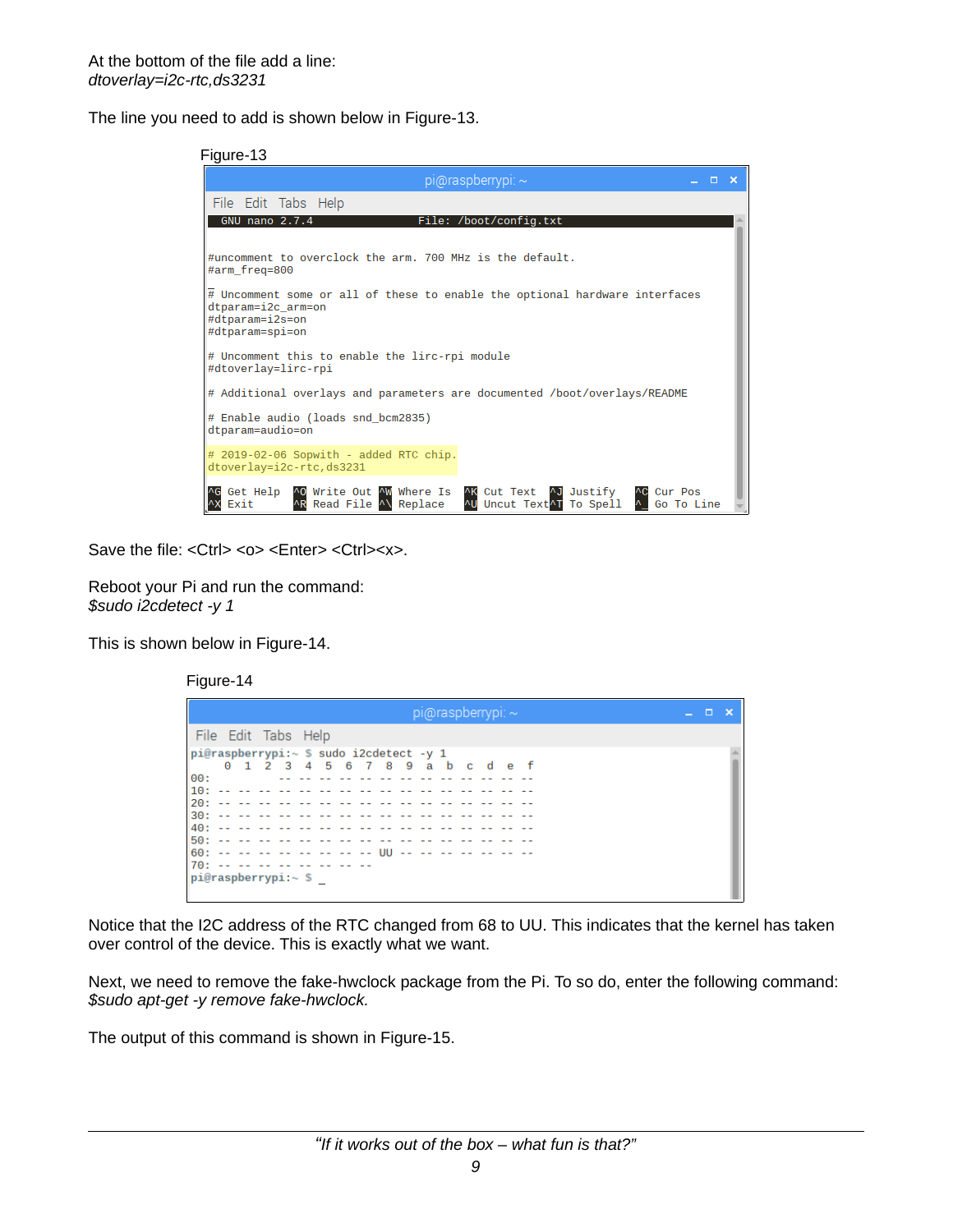The line you need to add is shown below in Figure-13.

#### Figure-13

| $pi$ @raspberrypi: $\sim$                                                                                                                                                       | n | × |  |  |  |  |  |  |
|---------------------------------------------------------------------------------------------------------------------------------------------------------------------------------|---|---|--|--|--|--|--|--|
| File Edit Tabs Help                                                                                                                                                             |   |   |  |  |  |  |  |  |
| GNU nano 2.7.4<br>File: /boot/config.txt                                                                                                                                        |   |   |  |  |  |  |  |  |
| #uncomment to overclock the arm. 700 MHz is the default.<br>#arm freq=800                                                                                                       |   |   |  |  |  |  |  |  |
| $\overline{\#}$ Uncomment some or all of these to enable the optional hardware interfaces<br>dtparam=i2c_arm=on<br>#dtparam=i2s=on<br>#dtparam=spi=on                           |   |   |  |  |  |  |  |  |
| # Uncomment this to enable the lirc-rpi module<br>#dtoverlay=lirc-rpi                                                                                                           |   |   |  |  |  |  |  |  |
| # Additional overlays and parameters are documented /boot/overlays/README                                                                                                       |   |   |  |  |  |  |  |  |
| # Enable audio (loads snd_bcm2835)<br>dtparam=audio=on                                                                                                                          |   |   |  |  |  |  |  |  |
| $#$ 2019-02-06 Sopwith - added RTC chip.<br>dtoverlay=i2c-rtc,ds3231                                                                                                            |   |   |  |  |  |  |  |  |
| ^O Write Out ^W Where Is<br>Get Help<br>AK Cut Text AJ Justify<br>Cur Pos<br>AR Read File A\ Replace<br>AU Uncut Text <sup>A</sup> T To Spell<br>$\wedge$<br>Go To Line<br>Exit |   |   |  |  |  |  |  |  |

Save the file: <Ctrl> <o> <Enter> <Ctrl><x>.

Reboot your Pi and run the command: *\$sudo i2cdetect -y 1*

This is shown below in Figure-14.

Figure-14

| $pi$ @raspberrypi: ~                    | - - |  |
|-----------------------------------------|-----|--|
| File Edit Tabs Help                     |     |  |
| pi@raspberrypi:~ \$ sudo i2cdetect -y 1 |     |  |
| 0 1 2 3 4 5 6 7 8 9 a b c d e f         |     |  |
| 00:<br>aa aa aa aa aa aa aa             |     |  |
|                                         |     |  |
|                                         |     |  |
|                                         |     |  |
|                                         |     |  |
|                                         |     |  |
|                                         |     |  |
| 70: -- -- -- -- -- -- -- -- --          |     |  |
| $ {\sf pi@raspberrypi:~} \le$ \$        |     |  |

Notice that the I2C address of the RTC changed from 68 to UU. This indicates that the kernel has taken over control of the device. This is exactly what we want.

Next, we need to remove the fake-hwclock package from the Pi. To so do, enter the following command: *\$sudo apt-get -y remove fake-hwclock.*

The output of this command is shown in Figure-15.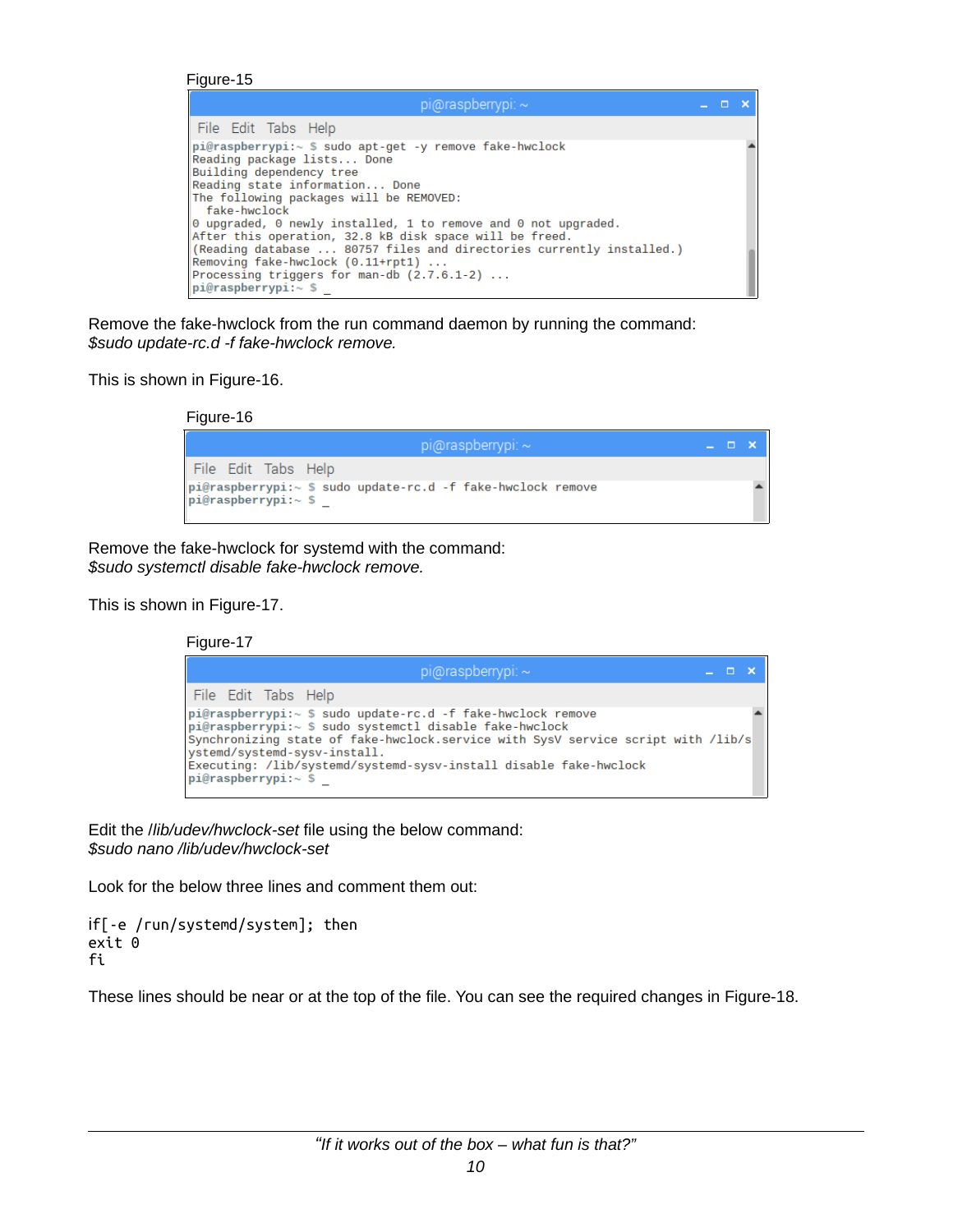Figure-15

| $pi$ @raspberrypi: $\sim$                                                                                                                                                                                                                                                                                                                         |  |  |
|---------------------------------------------------------------------------------------------------------------------------------------------------------------------------------------------------------------------------------------------------------------------------------------------------------------------------------------------------|--|--|
| File Edit Tabs Help                                                                                                                                                                                                                                                                                                                               |  |  |
| pi@raspberrypi:~ \$ sudo apt-get -y remove fake-hwclock<br>Reading package lists Done<br>Building dependency tree<br>Reading state information Done<br>The following packages will be REMOVED:<br>fake-hwclock                                                                                                                                    |  |  |
| $\theta$ upgraded, $\theta$ newly installed, 1 to remove and $\theta$ not upgraded.<br>After this operation, 32.8 kB disk space will be freed.<br>$\parallel$ (Reading database  80757 files and directories currently installed.)<br>Removing fake-hwclock $(0.11+rt1)$<br>Processing triggers for man-db $(2.7.6.1-2)$<br>$pi@raspberrypi:~$ \$ |  |  |

Remove the fake-hwclock from the run command daemon by running the command: *\$sudo update-rc.d -f fake-hwclock remove.*

This is shown in Figure-16.

Figure-16

| $pi$ @raspberrypi: $\sim$                                                            | L O XV |  |
|--------------------------------------------------------------------------------------|--------|--|
| File Edit Tabs Help                                                                  |        |  |
| pi@raspberrypi:~ \$ sudo update-rc.d -f fake-hwclock remove<br>$pi@raspberrypi:~$ \$ |        |  |

Remove the fake-hwclock for systemd with the command: *\$sudo systemctl disable fake-hwclock remove.* 

This is shown in Figure-17.

Figure-17

| pi@raspberrypi: ~                                                                                                                                                                                                                                                                                                                          | <b>THE X</b> |  |
|--------------------------------------------------------------------------------------------------------------------------------------------------------------------------------------------------------------------------------------------------------------------------------------------------------------------------------------------|--------------|--|
| File Edit Tabs Help                                                                                                                                                                                                                                                                                                                        |              |  |
| $pi@raspberrypi:~$ \$ sudo update-rc.d -f fake-hwclock remove<br>pi@raspberrypi:~ \$ sudo systemctl disable fake-hwclock<br>Synchronizing state of fake-hwclock.service with SysV service script with /lib/s<br>ystemd/systemd-sysv-install.<br>Executing: /lib/systemd/systemd-sysv-install disable fake-hwclock<br>$pi@raspberrypi:~$ \$ |              |  |

Edit the /*lib/udev/hwclock-set* file using the below command: *\$sudo nano /lib/udev/hwclock-set*

Look for the below three lines and comment them out:

```
if[-e /run/systemd/system]; then
exit 0
fi
```
These lines should be near or at the top of the file. You can see the required changes in Figure-18.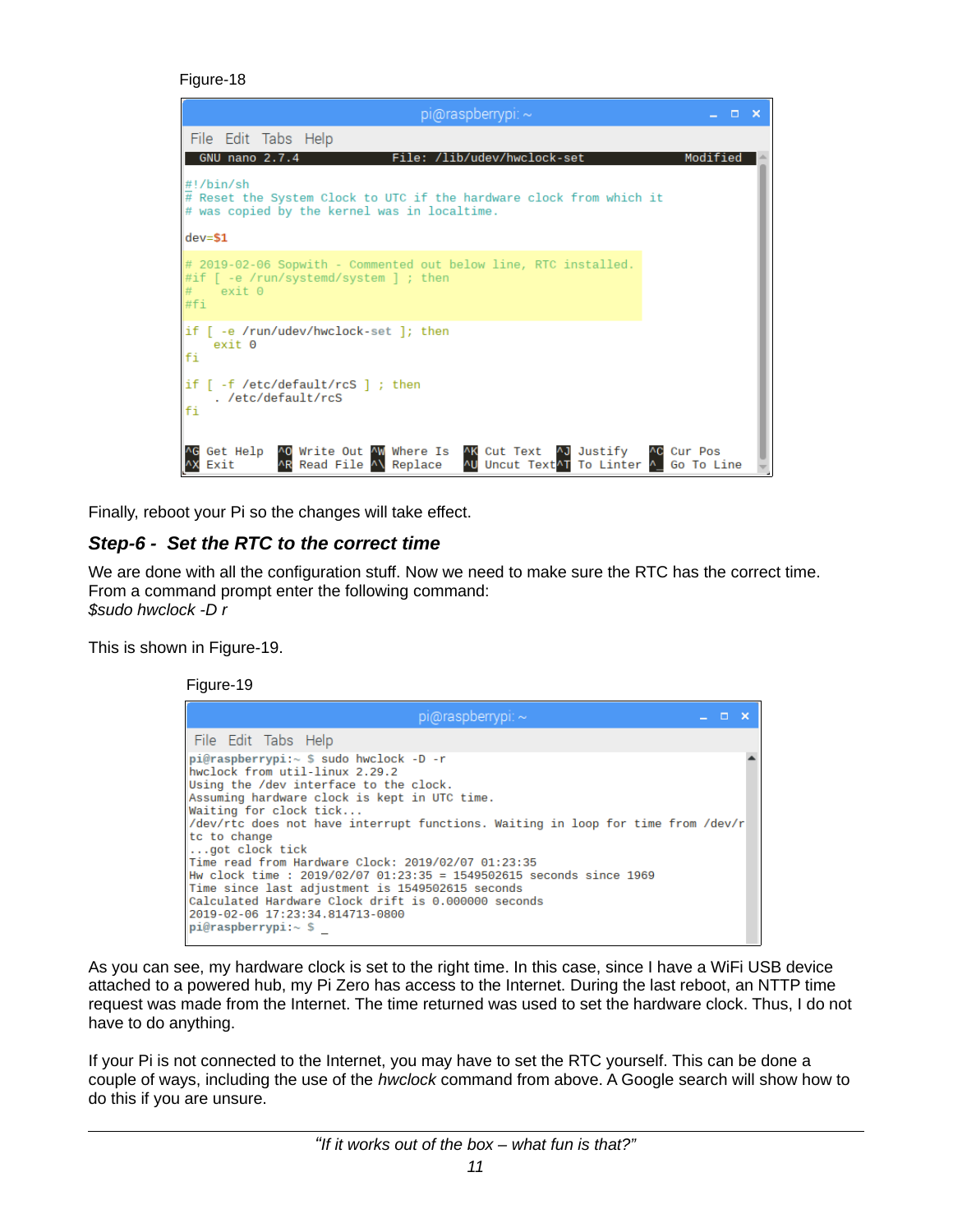```
Figure-18
```

| $pi$ @raspberrypi: $\sim$<br>$\Box$ $\times$                                                                                                                           |  |
|------------------------------------------------------------------------------------------------------------------------------------------------------------------------|--|
| File Edit Tabs Help                                                                                                                                                    |  |
| GNU nano 2.7.4<br>File: /lib/udev/hwclock-set<br>Modified                                                                                                              |  |
| $\#! / \text{bin}/\text{sh}$<br>$\#$ Reset the System Clock to UTC if the hardware clock from which it<br># was copied by the kernel was in localtime.                 |  |
| $dev = $1$                                                                                                                                                             |  |
| $\#$ 2019-02-06 Sopwith - Commented out below line, RTC installed.<br>$\# \text{if }$ [ -e /run/systemd/system ] ; then<br>exist 0<br>#fi                              |  |
| $if \, \, \cdot \, e \,$ /run/udev/hwclock-set ]; then<br>exit 0<br>lfi                                                                                                |  |
| if $\lceil$ -f /etc/default/rcS $\rceil$ ; then<br>. /etc/default/rcS<br>fi                                                                                            |  |
| Get Help AO Write Out AW Where Is<br>^K Cut Text ^J Justify<br>AC Cur Pos<br>AR Read File A\ Replace<br>AU Uncut Text <sup>A</sup> T To Linter A<br>Go To Line<br>Exit |  |

Finally, reboot your Pi so the changes will take effect.

## *Step-6 - Set the RTC to the correct time*

We are done with all the configuration stuff. Now we need to make sure the RTC has the correct time. From a command prompt enter the following command: *\$sudo hwclock -D r*

This is shown in Figure-19.

Figure-19

| pi@raspberrypi: $\sim$                                                                                                                                                                                                                                                                                                                                                                                                                                                                                                                                                                                                             |  | Æ |  |
|------------------------------------------------------------------------------------------------------------------------------------------------------------------------------------------------------------------------------------------------------------------------------------------------------------------------------------------------------------------------------------------------------------------------------------------------------------------------------------------------------------------------------------------------------------------------------------------------------------------------------------|--|---|--|
| File Edit Tabs Help                                                                                                                                                                                                                                                                                                                                                                                                                                                                                                                                                                                                                |  |   |  |
| $pi@raspberrypi:~$ \$ sudo hwclock -D -r<br>hwclock from util-linux 2.29.2<br>Using the /dev interface to the clock.<br>Assuming hardware clock is kept in UTC time.<br>Waiting for clock tick<br>/dev/rtc does not have interrupt functions. Waiting in loop for time from /dev/r<br>tc to change<br>$\ldots$ got clock tick<br>Time read from Hardware Clock: 2019/02/07 01:23:35<br>lHw clock time : 2019/02/07 01:23:35 = 1549502615 seconds since 1969<br>Time since last adjustment is 1549502615 seconds<br>Calculated Hardware Clock drift is 0.000000 seconds<br>2019-02-06 17:23:34.814713-0800<br>$pi@raspberrypi:~$ \$ |  |   |  |

As you can see, my hardware clock is set to the right time. In this case, since I have a WiFi USB device attached to a powered hub, my Pi Zero has access to the Internet. During the last reboot, an NTTP time request was made from the Internet. The time returned was used to set the hardware clock. Thus, I do not have to do anything.

If your Pi is not connected to the Internet, you may have to set the RTC yourself. This can be done a couple of ways, including the use of the *hwclock* command from above. A Google search will show how to do this if you are unsure.